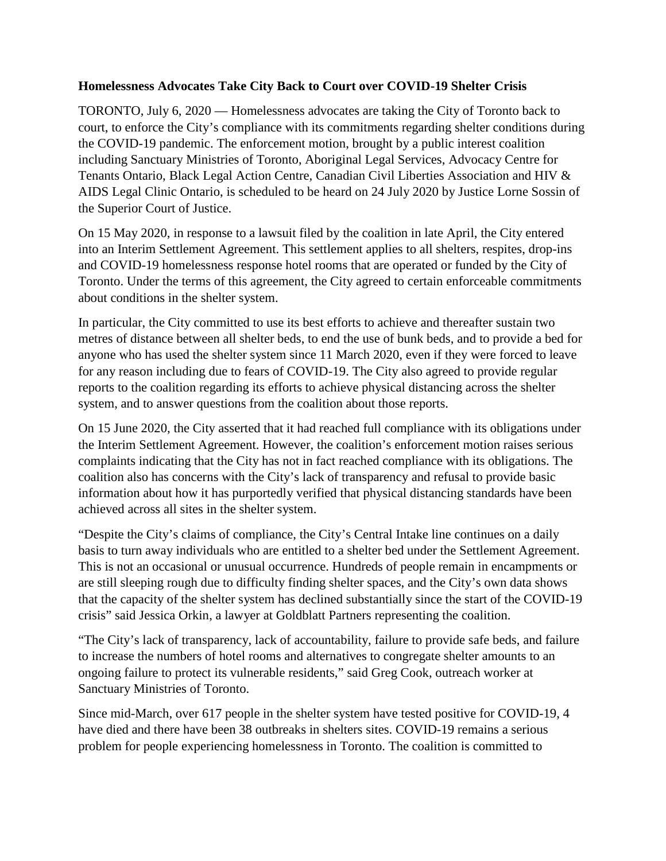## **Homelessness Advocates Take City Back to Court over COVID-19 Shelter Crisis**

TORONTO, July 6, 2020 — Homelessness advocates are taking the City of Toronto back to court, to enforce the City's compliance with its commitments regarding shelter conditions during the COVID-19 pandemic. The enforcement motion, brought by a public interest coalition including Sanctuary Ministries of Toronto, Aboriginal Legal Services, Advocacy Centre for Tenants Ontario, Black Legal Action Centre, Canadian Civil Liberties Association and HIV & AIDS Legal Clinic Ontario, is scheduled to be heard on 24 July 2020 by Justice Lorne Sossin of the Superior Court of Justice.

On 15 May 2020, in response to a lawsuit filed by the coalition in late April, the City entered into an Interim Settlement Agreement. This settlement applies to all shelters, respites, drop-ins and COVID-19 homelessness response hotel rooms that are operated or funded by the City of Toronto. Under the terms of this agreement, the City agreed to certain enforceable commitments about conditions in the shelter system.

In particular, the City committed to use its best efforts to achieve and thereafter sustain two metres of distance between all shelter beds, to end the use of bunk beds, and to provide a bed for anyone who has used the shelter system since 11 March 2020, even if they were forced to leave for any reason including due to fears of COVID-19. The City also agreed to provide regular reports to the coalition regarding its efforts to achieve physical distancing across the shelter system, and to answer questions from the coalition about those reports.

On 15 June 2020, the City asserted that it had reached full compliance with its obligations under the Interim Settlement Agreement. However, the coalition's enforcement motion raises serious complaints indicating that the City has not in fact reached compliance with its obligations. The coalition also has concerns with the City's lack of transparency and refusal to provide basic information about how it has purportedly verified that physical distancing standards have been achieved across all sites in the shelter system.

"Despite the City's claims of compliance, the City's Central Intake line continues on a daily basis to turn away individuals who are entitled to a shelter bed under the Settlement Agreement. This is not an occasional or unusual occurrence. Hundreds of people remain in encampments or are still sleeping rough due to difficulty finding shelter spaces, and the City's own data shows that the capacity of the shelter system has declined substantially since the start of the COVID-19 crisis" said Jessica Orkin, a lawyer at Goldblatt Partners representing the coalition.

"The City's lack of transparency, lack of accountability, failure to provide safe beds, and failure to increase the numbers of hotel rooms and alternatives to congregate shelter amounts to an ongoing failure to protect its vulnerable residents," said Greg Cook, outreach worker at Sanctuary Ministries of Toronto.

Since mid-March, over 617 people in the shelter system have tested positive for COVID-19, 4 have died and there have been 38 outbreaks in shelters sites. COVID-19 remains a serious problem for people experiencing homelessness in Toronto. The coalition is committed to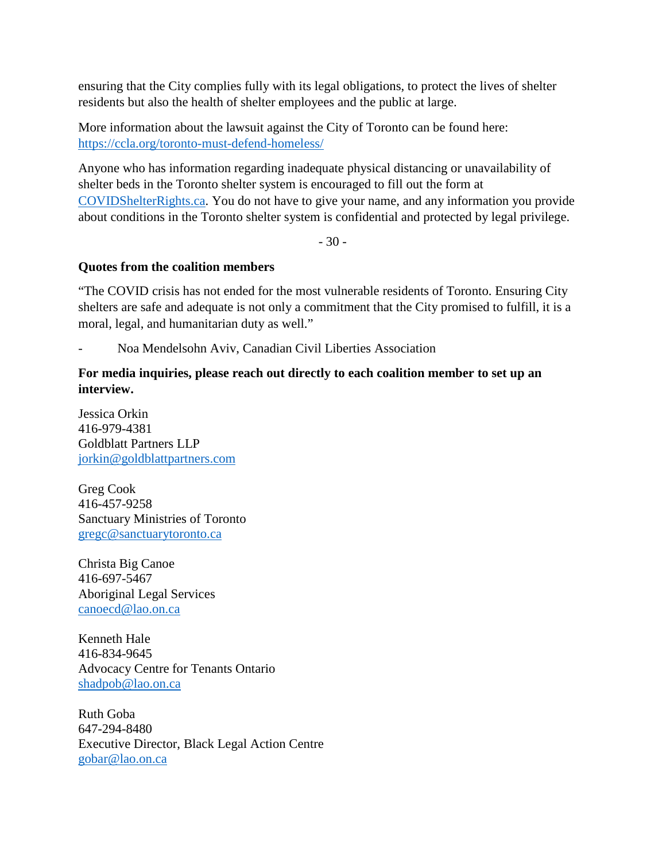ensuring that the City complies fully with its legal obligations, to protect the lives of shelter residents but also the health of shelter employees and the public at large.

More information about the lawsuit against the City of Toronto can be found here: <https://ccla.org/toronto-must-defend-homeless/>

Anyone who has information regarding inadequate physical distancing or unavailability of shelter beds in the Toronto shelter system is encouraged to fill out the form at [COVIDShelterRights.ca.](http://www.covidshelterrights.ca/) You do not have to give your name, and any information you provide about conditions in the Toronto shelter system is confidential and protected by legal privilege.

 $-30-$ 

## **Quotes from the coalition members**

"The COVID crisis has not ended for the most vulnerable residents of Toronto. Ensuring City shelters are safe and adequate is not only a commitment that the City promised to fulfill, it is a moral, legal, and humanitarian duty as well."

- Noa Mendelsohn Aviv, Canadian Civil Liberties Association

## **For media inquiries, please reach out directly to each coalition member to set up an interview.**

Jessica Orkin 416-979-4381 Goldblatt Partners LLP [jorkin@goldblattpartners.com](mailto:jorkin@goldblattpartners.com)

Greg Cook 416-457-9258 Sanctuary Ministries of Toronto [gregc@sanctuarytoronto.ca](mailto:gregc@sanctuarytoronto.ca)

Christa Big Canoe 416-697-5467 Aboriginal Legal Services [canoecd@lao.on.ca](mailto:canoecd@lao.on.ca)

Kenneth Hale 416-834-9645 Advocacy Centre for Tenants Ontario [shadpob@lao.on.ca](mailto:shadpob@lao.on.ca)

Ruth Goba 647-294-8480 Executive Director, Black Legal Action Centre [gobar@lao.on.ca](mailto:gobar@lao.on.ca)